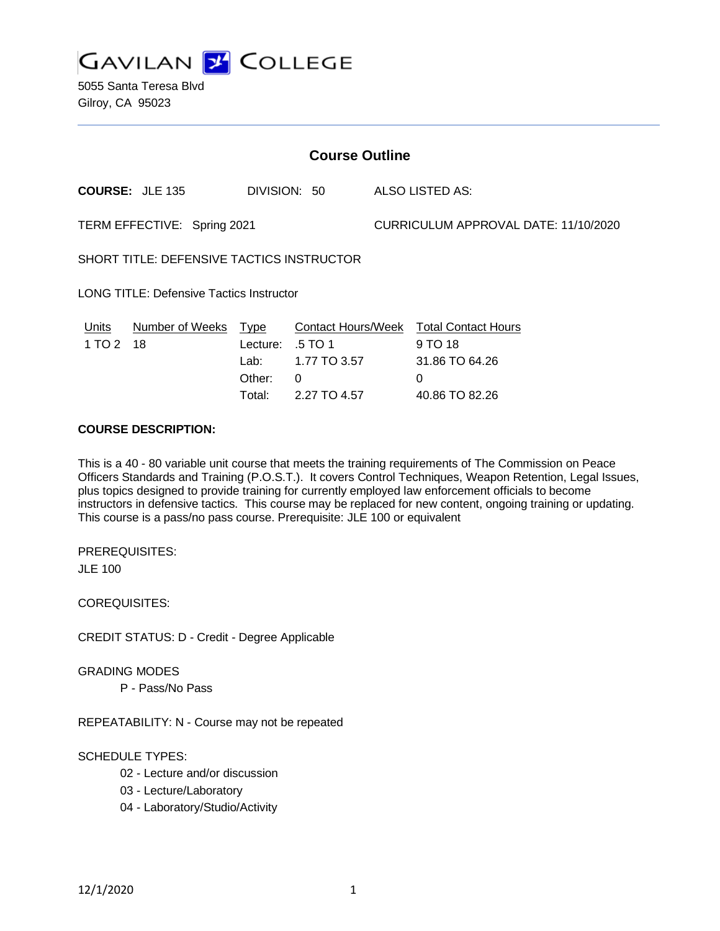

5055 Santa Teresa Blvd Gilroy, CA 95023

| <b>Course Outline</b>                           |                        |                                              |                                                                           |                                      |                                                                                       |
|-------------------------------------------------|------------------------|----------------------------------------------|---------------------------------------------------------------------------|--------------------------------------|---------------------------------------------------------------------------------------|
|                                                 | <b>COURSE: JLE 135</b> | DIVISION: 50                                 |                                                                           |                                      | ALSO LISTED AS:                                                                       |
| TERM EFFECTIVE: Spring 2021                     |                        |                                              |                                                                           | CURRICULUM APPROVAL DATE: 11/10/2020 |                                                                                       |
| SHORT TITLE: DEFENSIVE TACTICS INSTRUCTOR       |                        |                                              |                                                                           |                                      |                                                                                       |
| <b>LONG TITLE: Defensive Tactics Instructor</b> |                        |                                              |                                                                           |                                      |                                                                                       |
| <b>Units</b><br>1 TO 2 18                       | <b>Number of Weeks</b> | Type<br>Lecture:<br>Lab:<br>Other:<br>Total: | <b>Contact Hours/Week</b><br>.5 TO 1<br>1.77 TO 3.57<br>0<br>2.27 TO 4.57 |                                      | <b>Total Contact Hours</b><br>9 TO 18<br>31.86 TO 64.26<br>$\Omega$<br>40.86 TO 82.26 |

## **COURSE DESCRIPTION:**

This is a 40 - 80 variable unit course that meets the training requirements of The Commission on Peace Officers Standards and Training (P.O.S.T.). It covers Control Techniques, Weapon Retention, Legal Issues, plus topics designed to provide training for currently employed law enforcement officials to become instructors in defensive tactics. This course may be replaced for new content, ongoing training or updating. This course is a pass/no pass course. Prerequisite: JLE 100 or equivalent

PREREQUISITES: JLE 100

COREQUISITES:

CREDIT STATUS: D - Credit - Degree Applicable

GRADING MODES

P - Pass/No Pass

REPEATABILITY: N - Course may not be repeated

## SCHEDULE TYPES:

- 02 Lecture and/or discussion
- 03 Lecture/Laboratory
- 04 Laboratory/Studio/Activity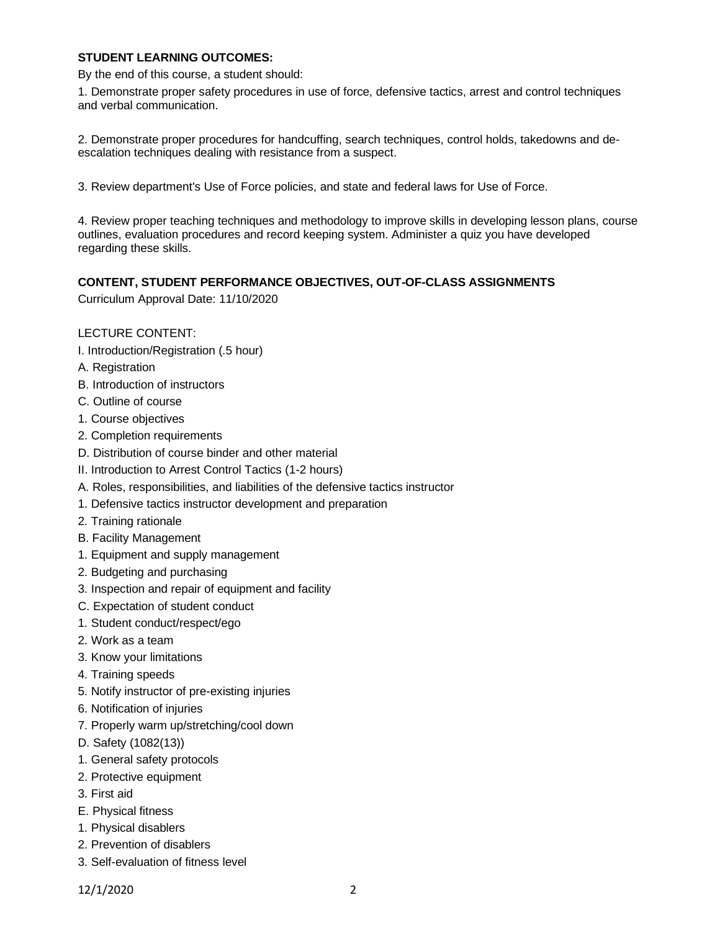### **STUDENT LEARNING OUTCOMES:**

By the end of this course, a student should:

1. Demonstrate proper safety procedures in use of force, defensive tactics, arrest and control techniques and verbal communication.

2. Demonstrate proper procedures for handcuffing, search techniques, control holds, takedowns and deescalation techniques dealing with resistance from a suspect.

3. Review department's Use of Force policies, and state and federal laws for Use of Force.

4. Review proper teaching techniques and methodology to improve skills in developing lesson plans, course outlines, evaluation procedures and record keeping system. Administer a quiz you have developed regarding these skills.

### **CONTENT, STUDENT PERFORMANCE OBJECTIVES, OUT-OF-CLASS ASSIGNMENTS**

Curriculum Approval Date: 11/10/2020

### LECTURE CONTENT:

- I. Introduction/Registration (.5 hour)
- A. Registration
- B. Introduction of instructors
- C. Outline of course
- 1. Course objectives
- 2. Completion requirements
- D. Distribution of course binder and other material
- II. Introduction to Arrest Control Tactics (1-2 hours)
- A. Roles, responsibilities, and liabilities of the defensive tactics instructor
- 1. Defensive tactics instructor development and preparation
- 2. Training rationale
- B. Facility Management
- 1. Equipment and supply management
- 2. Budgeting and purchasing
- 3. Inspection and repair of equipment and facility
- C. Expectation of student conduct
- 1. Student conduct/respect/ego
- 2. Work as a team
- 3. Know your limitations
- 4. Training speeds
- 5. Notify instructor of pre-existing injuries
- 6. Notification of injuries
- 7. Properly warm up/stretching/cool down
- D. Safety (1082(13))
- 1. General safety protocols
- 2. Protective equipment
- 3. First aid
- E. Physical fitness
- 1. Physical disablers
- 2. Prevention of disablers
- 3. Self-evaluation of fitness level

12/1/2020 2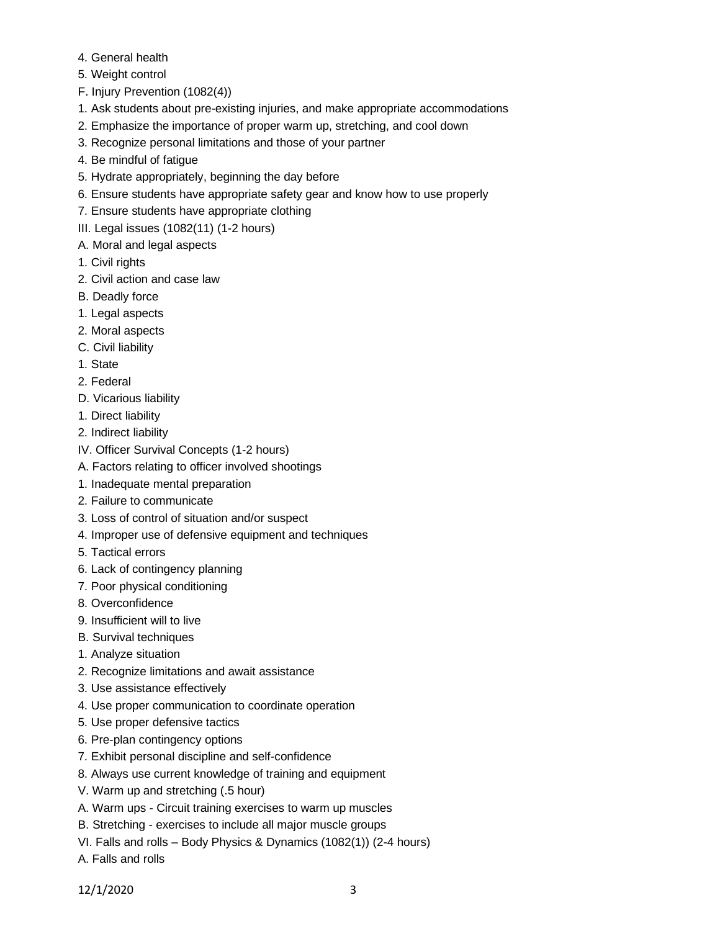- 4. General health
- 5. Weight control
- F. Injury Prevention (1082(4))
- 1. Ask students about pre-existing injuries, and make appropriate accommodations
- 2. Emphasize the importance of proper warm up, stretching, and cool down
- 3. Recognize personal limitations and those of your partner
- 4. Be mindful of fatigue
- 5. Hydrate appropriately, beginning the day before
- 6. Ensure students have appropriate safety gear and know how to use properly
- 7. Ensure students have appropriate clothing
- III. Legal issues (1082(11) (1-2 hours)
- A. Moral and legal aspects
- 1. Civil rights
- 2. Civil action and case law
- B. Deadly force
- 1. Legal aspects
- 2. Moral aspects
- C. Civil liability
- 1. State
- 2. Federal
- D. Vicarious liability
- 1. Direct liability
- 2. Indirect liability
- IV. Officer Survival Concepts (1-2 hours)
- A. Factors relating to officer involved shootings
- 1. Inadequate mental preparation
- 2. Failure to communicate
- 3. Loss of control of situation and/or suspect
- 4. Improper use of defensive equipment and techniques
- 5. Tactical errors
- 6. Lack of contingency planning
- 7. Poor physical conditioning
- 8. Overconfidence
- 9. Insufficient will to live
- B. Survival techniques
- 1. Analyze situation
- 2. Recognize limitations and await assistance
- 3. Use assistance effectively
- 4. Use proper communication to coordinate operation
- 5. Use proper defensive tactics
- 6. Pre-plan contingency options
- 7. Exhibit personal discipline and self-confidence
- 8. Always use current knowledge of training and equipment
- V. Warm up and stretching (.5 hour)
- A. Warm ups Circuit training exercises to warm up muscles
- B. Stretching exercises to include all major muscle groups
- VI. Falls and rolls Body Physics & Dynamics (1082(1)) (2-4 hours)
- A. Falls and rolls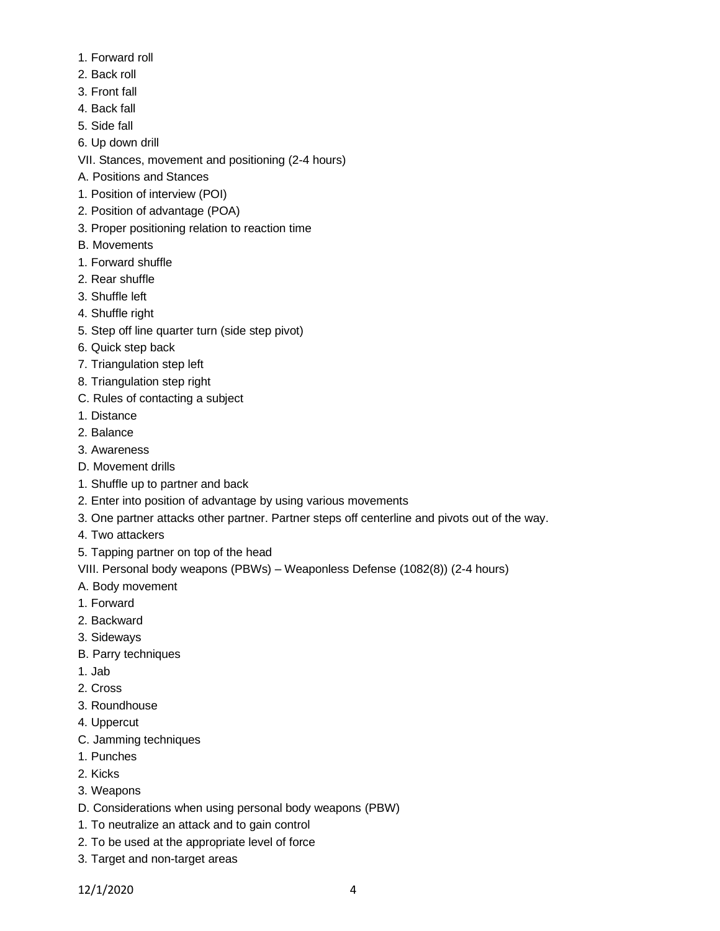- 1. Forward roll
- 2. Back roll
- 3. Front fall
- 4. Back fall
- 5. Side fall
- 6. Up down drill
- VII. Stances, movement and positioning (2-4 hours)
- A. Positions and Stances
- 1. Position of interview (POI)
- 2. Position of advantage (POA)
- 3. Proper positioning relation to reaction time
- B. Movements
- 1. Forward shuffle
- 2. Rear shuffle
- 3. Shuffle left
- 4. Shuffle right
- 5. Step off line quarter turn (side step pivot)
- 6. Quick step back
- 7. Triangulation step left
- 8. Triangulation step right
- C. Rules of contacting a subject
- 1. Distance
- 2. Balance
- 3. Awareness
- D. Movement drills
- 1. Shuffle up to partner and back
- 2. Enter into position of advantage by using various movements
- 3. One partner attacks other partner. Partner steps off centerline and pivots out of the way.
- 4. Two attackers
- 5. Tapping partner on top of the head

VIII. Personal body weapons (PBWs) – Weaponless Defense (1082(8)) (2-4 hours)

- A. Body movement
- 1. Forward
- 2. Backward
- 3. Sideways
- B. Parry techniques
- 1. Jab
- 2. Cross
- 3. Roundhouse
- 4. Uppercut
- C. Jamming techniques
- 1. Punches
- 2. Kicks
- 3. Weapons
- D. Considerations when using personal body weapons (PBW)
- 1. To neutralize an attack and to gain control
- 2. To be used at the appropriate level of force
- 3. Target and non-target areas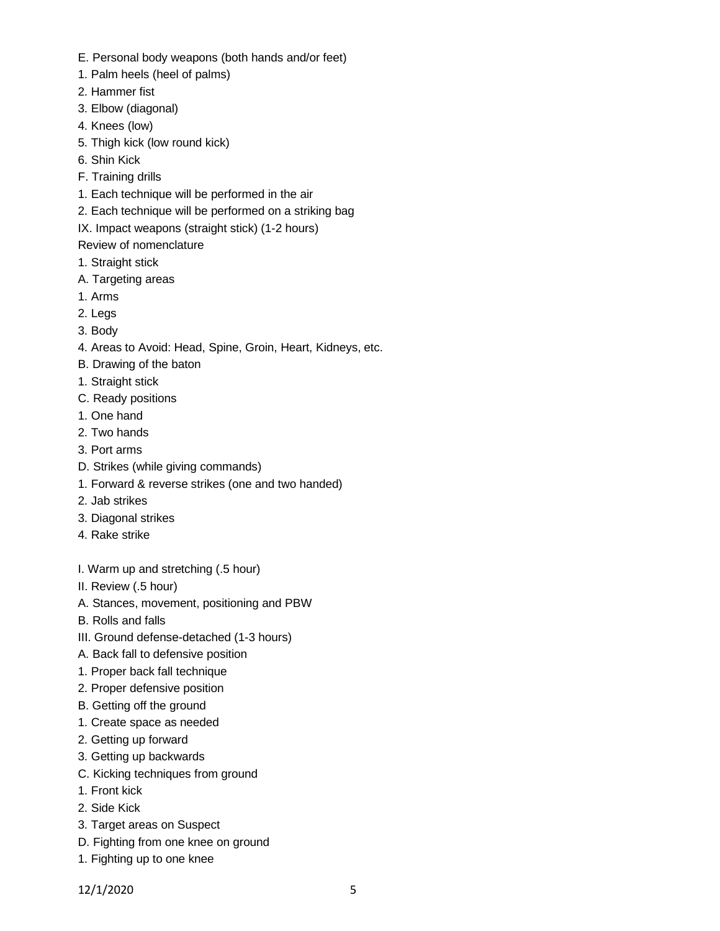- E. Personal body weapons (both hands and/or feet)
- 1. Palm heels (heel of palms)
- 2. Hammer fist
- 3. Elbow (diagonal)
- 4. Knees (low)
- 5. Thigh kick (low round kick)
- 6. Shin Kick
- F. Training drills
- 1. Each technique will be performed in the air
- 2. Each technique will be performed on a striking bag
- IX. Impact weapons (straight stick) (1-2 hours)

# Review of nomenclature

- 1. Straight stick
- A. Targeting areas
- 1. Arms
- 2. Legs
- 3. Body
- 4. Areas to Avoid: Head, Spine, Groin, Heart, Kidneys, etc.
- B. Drawing of the baton
- 1. Straight stick
- C. Ready positions
- 1. One hand
- 2. Two hands
- 3. Port arms
- D. Strikes (while giving commands)
- 1. Forward & reverse strikes (one and two handed)
- 2. Jab strikes
- 3. Diagonal strikes
- 4. Rake strike
- I. Warm up and stretching (.5 hour)
- II. Review (.5 hour)
- A. Stances, movement, positioning and PBW
- B. Rolls and falls
- III. Ground defense-detached (1-3 hours)
- A. Back fall to defensive position
- 1. Proper back fall technique
- 2. Proper defensive position
- B. Getting off the ground
- 1. Create space as needed
- 2. Getting up forward
- 3. Getting up backwards
- C. Kicking techniques from ground
- 1. Front kick
- 2. Side Kick
- 3. Target areas on Suspect
- D. Fighting from one knee on ground
- 1. Fighting up to one knee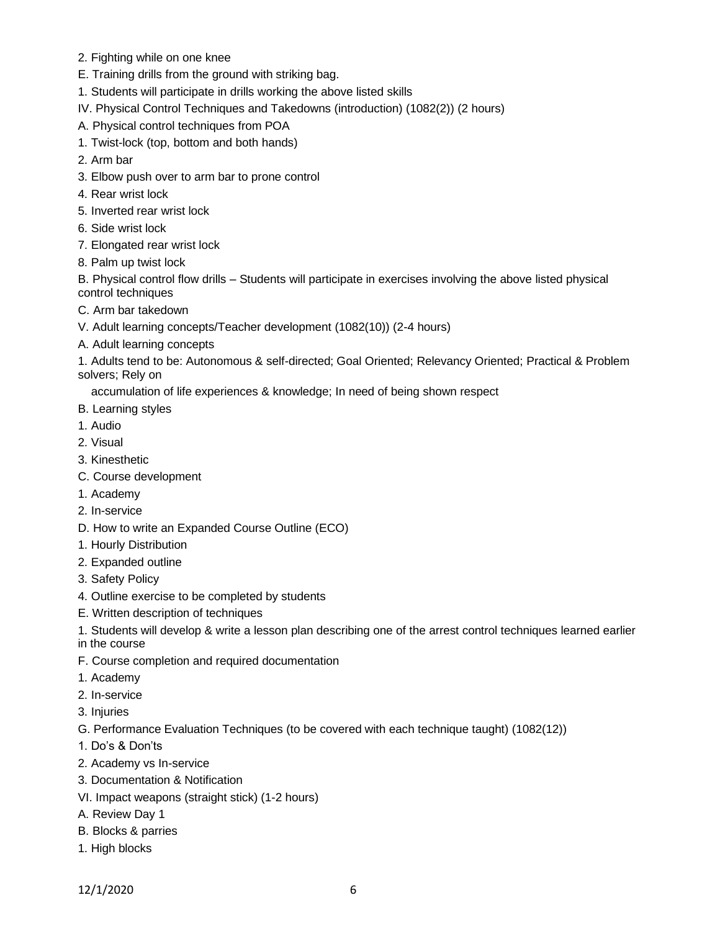- 2. Fighting while on one knee
- E. Training drills from the ground with striking bag.
- 1. Students will participate in drills working the above listed skills
- IV. Physical Control Techniques and Takedowns (introduction) (1082(2)) (2 hours)
- A. Physical control techniques from POA
- 1. Twist-lock (top, bottom and both hands)
- 2. Arm bar
- 3. Elbow push over to arm bar to prone control
- 4. Rear wrist lock
- 5. Inverted rear wrist lock
- 6. Side wrist lock
- 7. Elongated rear wrist lock
- 8. Palm up twist lock

B. Physical control flow drills – Students will participate in exercises involving the above listed physical control techniques

- C. Arm bar takedown
- V. Adult learning concepts/Teacher development (1082(10)) (2-4 hours)
- A. Adult learning concepts

1. Adults tend to be: Autonomous & self-directed; Goal Oriented; Relevancy Oriented; Practical & Problem solvers; Rely on

accumulation of life experiences & knowledge; In need of being shown respect

- B. Learning styles
- 1. Audio
- 2. Visual
- 3. Kinesthetic
- C. Course development
- 1. Academy
- 2. In-service
- D. How to write an Expanded Course Outline (ECO)
- 1. Hourly Distribution
- 2. Expanded outline
- 3. Safety Policy
- 4. Outline exercise to be completed by students
- E. Written description of techniques
- 1. Students will develop & write a lesson plan describing one of the arrest control techniques learned earlier
- in the course
- F. Course completion and required documentation
- 1. Academy
- 2. In-service
- 3. Injuries
- G. Performance Evaluation Techniques (to be covered with each technique taught) (1082(12))
- 1. Do's & Don'ts
- 2. Academy vs In-service
- 3. Documentation & Notification
- VI. Impact weapons (straight stick) (1-2 hours)
- A. Review Day 1
- B. Blocks & parries
- 1. High blocks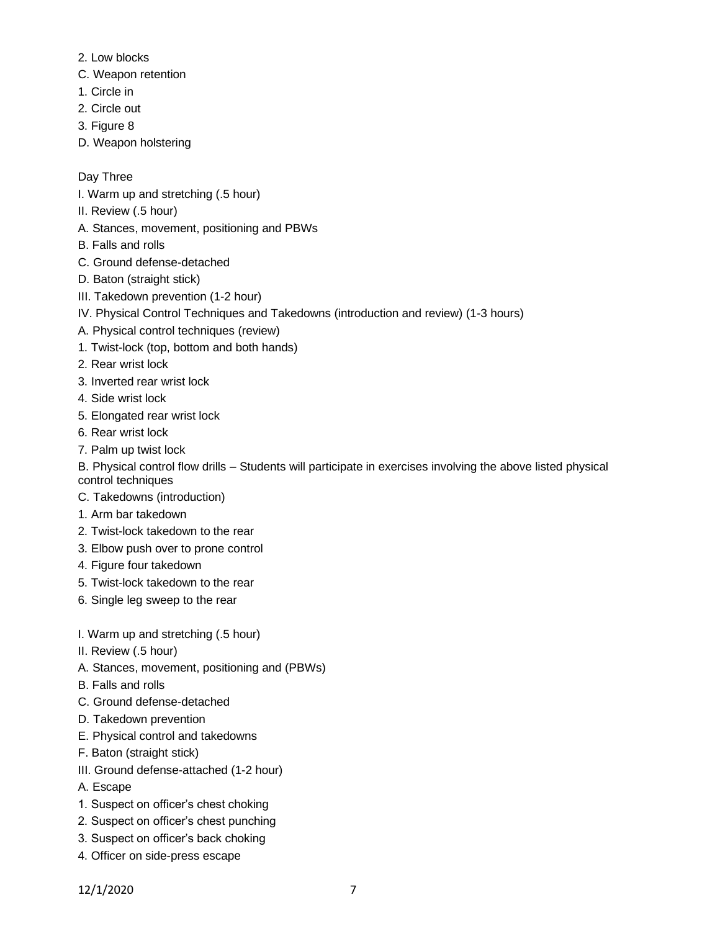- 2. Low blocks
- C. Weapon retention
- 1. Circle in
- 2. Circle out
- 3. Figure 8
- D. Weapon holstering

# Day Three

- I. Warm up and stretching (.5 hour)
- II. Review (.5 hour)
- A. Stances, movement, positioning and PBWs
- B. Falls and rolls
- C. Ground defense-detached
- D. Baton (straight stick)
- III. Takedown prevention (1-2 hour)
- IV. Physical Control Techniques and Takedowns (introduction and review) (1-3 hours)
- A. Physical control techniques (review)
- 1. Twist-lock (top, bottom and both hands)
- 2. Rear wrist lock
- 3. Inverted rear wrist lock
- 4. Side wrist lock
- 5. Elongated rear wrist lock
- 6. Rear wrist lock
- 7. Palm up twist lock
- B. Physical control flow drills Students will participate in exercises involving the above listed physical control techniques
- C. Takedowns (introduction)
- 1. Arm bar takedown
- 2. Twist-lock takedown to the rear
- 3. Elbow push over to prone control
- 4. Figure four takedown
- 5. Twist-lock takedown to the rear
- 6. Single leg sweep to the rear
- I. Warm up and stretching (.5 hour)
- II. Review (.5 hour)
- A. Stances, movement, positioning and (PBWs)
- B. Falls and rolls
- C. Ground defense-detached
- D. Takedown prevention
- E. Physical control and takedowns
- F. Baton (straight stick)
- III. Ground defense-attached (1-2 hour)
- A. Escape
- 1. Suspect on officer's chest choking
- 2. Suspect on officer's chest punching
- 3. Suspect on officer's back choking
- 4. Officer on side-press escape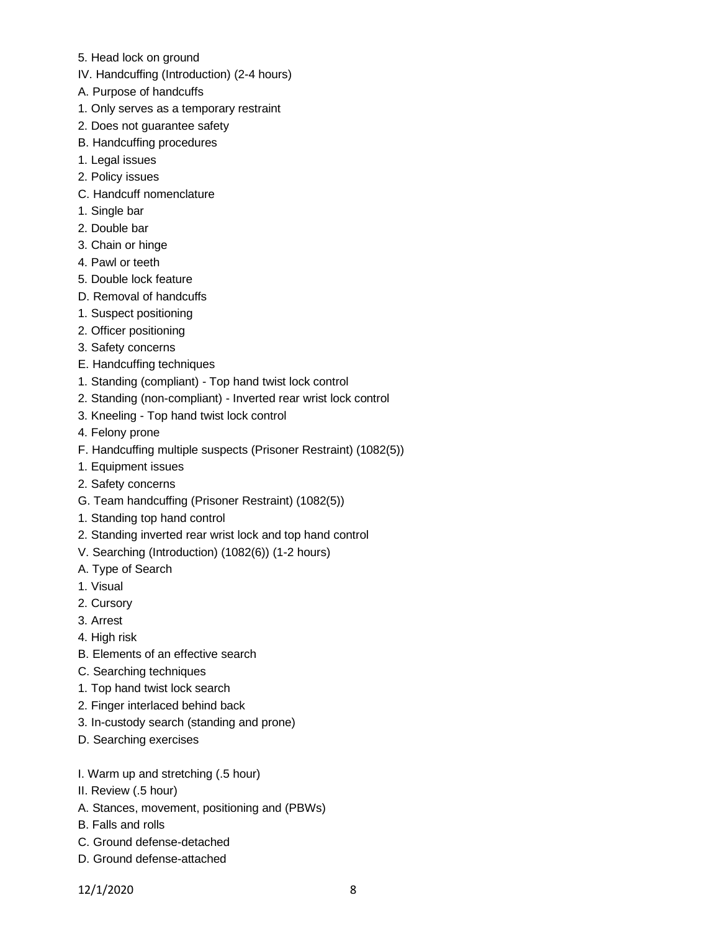- 5. Head lock on ground
- IV. Handcuffing (Introduction) (2-4 hours)
- A. Purpose of handcuffs
- 1. Only serves as a temporary restraint
- 2. Does not guarantee safety
- B. Handcuffing procedures
- 1. Legal issues
- 2. Policy issues
- C. Handcuff nomenclature
- 1. Single bar
- 2. Double bar
- 3. Chain or hinge
- 4. Pawl or teeth
- 5. Double lock feature
- D. Removal of handcuffs
- 1. Suspect positioning
- 2. Officer positioning
- 3. Safety concerns
- E. Handcuffing techniques
- 1. Standing (compliant) Top hand twist lock control
- 2. Standing (non-compliant) Inverted rear wrist lock control
- 3. Kneeling Top hand twist lock control
- 4. Felony prone
- F. Handcuffing multiple suspects (Prisoner Restraint) (1082(5))
- 1. Equipment issues
- 2. Safety concerns
- G. Team handcuffing (Prisoner Restraint) (1082(5))
- 1. Standing top hand control
- 2. Standing inverted rear wrist lock and top hand control
- V. Searching (Introduction) (1082(6)) (1-2 hours)
- A. Type of Search
- 1. Visual
- 2. Cursory
- 3. Arrest
- 4. High risk
- B. Elements of an effective search
- C. Searching techniques
- 1. Top hand twist lock search
- 2. Finger interlaced behind back
- 3. In-custody search (standing and prone)
- D. Searching exercises
- I. Warm up and stretching (.5 hour)
- II. Review (.5 hour)
- A. Stances, movement, positioning and (PBWs)
- B. Falls and rolls
- C. Ground defense-detached
- D. Ground defense-attached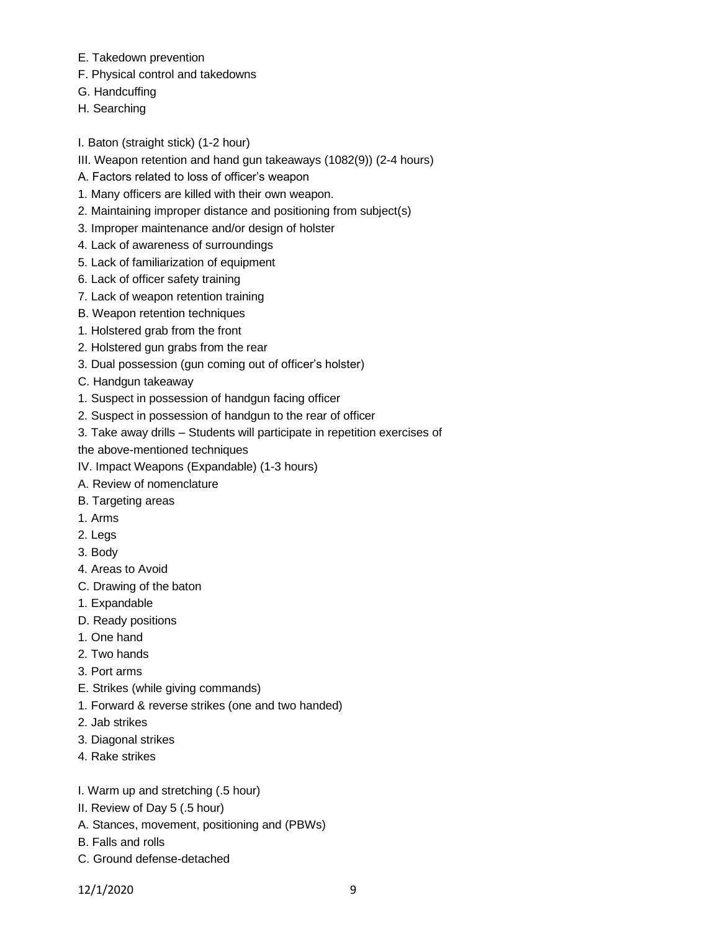- E. Takedown prevention
- F. Physical control and takedowns
- G. Handcuffing
- H. Searching

I. Baton (straight stick) (1-2 hour)

- III. Weapon retention and hand gun takeaways (1082(9)) (2-4 hours)
- A. Factors related to loss of officer's weapon
- 1. Many officers are killed with their own weapon.
- 2. Maintaining improper distance and positioning from subject(s)
- 3. Improper maintenance and/or design of holster
- 4. Lack of awareness of surroundings
- 5. Lack of familiarization of equipment
- 6. Lack of officer safety training
- 7. Lack of weapon retention training
- B. Weapon retention techniques
- 1. Holstered grab from the front
- 2. Holstered gun grabs from the rear
- 3. Dual possession (gun coming out of officer's holster)
- C. Handgun takeaway
- 1. Suspect in possession of handgun facing officer
- 2. Suspect in possession of handgun to the rear of officer
- 3. Take away drills Students will participate in repetition exercises of

the above-mentioned techniques

- IV. Impact Weapons (Expandable) (1-3 hours)
- A. Review of nomenclature
- B. Targeting areas
- 1. Arms
- 2. Legs
- 3. Body
- 4. Areas to Avoid
- C. Drawing of the baton
- 1. Expandable
- D. Ready positions
- 1. One hand
- 2. Two hands
- 3. Port arms
- E. Strikes (while giving commands)
- 1. Forward & reverse strikes (one and two handed)
- 2. Jab strikes
- 3. Diagonal strikes
- 4. Rake strikes
- I. Warm up and stretching (.5 hour)
- II. Review of Day 5 (.5 hour)
- A. Stances, movement, positioning and (PBWs)
- B. Falls and rolls
- C. Ground defense-detached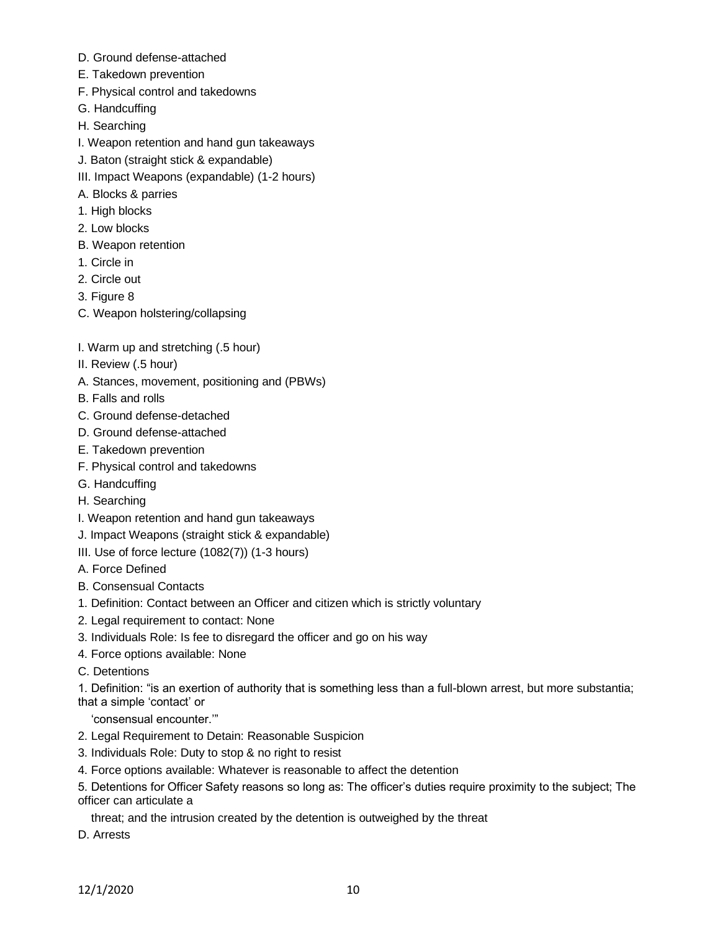- D. Ground defense-attached
- E. Takedown prevention
- F. Physical control and takedowns
- G. Handcuffing
- H. Searching
- I. Weapon retention and hand gun takeaways
- J. Baton (straight stick & expandable)
- III. Impact Weapons (expandable) (1-2 hours)
- A. Blocks & parries
- 1. High blocks
- 2. Low blocks
- B. Weapon retention
- 1. Circle in
- 2. Circle out
- 3. Figure 8
- C. Weapon holstering/collapsing
- I. Warm up and stretching (.5 hour)
- II. Review (.5 hour)
- A. Stances, movement, positioning and (PBWs)
- B. Falls and rolls
- C. Ground defense-detached
- D. Ground defense-attached
- E. Takedown prevention
- F. Physical control and takedowns
- G. Handcuffing
- H. Searching
- I. Weapon retention and hand gun takeaways
- J. Impact Weapons (straight stick & expandable)
- III. Use of force lecture (1082(7)) (1-3 hours)
- A. Force Defined
- B. Consensual Contacts
- 1. Definition: Contact between an Officer and citizen which is strictly voluntary
- 2. Legal requirement to contact: None
- 3. Individuals Role: Is fee to disregard the officer and go on his way
- 4. Force options available: None
- C. Detentions

1. Definition: "is an exertion of authority that is something less than a full-blown arrest, but more substantia; that a simple 'contact' or

'consensual encounter.'"

- 2. Legal Requirement to Detain: Reasonable Suspicion
- 3. Individuals Role: Duty to stop & no right to resist
- 4. Force options available: Whatever is reasonable to affect the detention
- 5. Detentions for Officer Safety reasons so long as: The officer's duties require proximity to the subject; The officer can articulate a

threat; and the intrusion created by the detention is outweighed by the threat

D. Arrests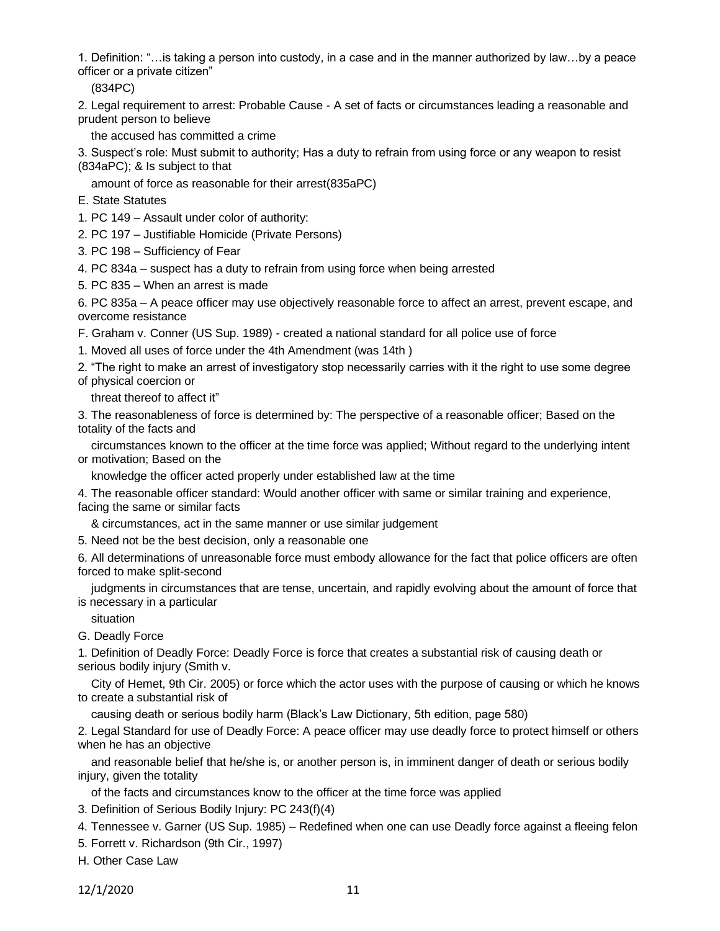1. Definition: "…is taking a person into custody, in a case and in the manner authorized by law…by a peace officer or a private citizen"

(834PC)

2. Legal requirement to arrest: Probable Cause - A set of facts or circumstances leading a reasonable and prudent person to believe

the accused has committed a crime

3. Suspect's role: Must submit to authority; Has a duty to refrain from using force or any weapon to resist (834aPC); & Is subject to that

amount of force as reasonable for their arrest(835aPC)

- E. State Statutes
- 1. PC 149 Assault under color of authority:
- 2. PC 197 Justifiable Homicide (Private Persons)
- 3. PC 198 Sufficiency of Fear

4. PC 834a – suspect has a duty to refrain from using force when being arrested

5. PC 835 – When an arrest is made

6. PC 835a – A peace officer may use objectively reasonable force to affect an arrest, prevent escape, and overcome resistance

F. Graham v. Conner (US Sup. 1989) - created a national standard for all police use of force

1. Moved all uses of force under the 4th Amendment (was 14th )

2. "The right to make an arrest of investigatory stop necessarily carries with it the right to use some degree of physical coercion or

threat thereof to affect it"

3. The reasonableness of force is determined by: The perspective of a reasonable officer; Based on the totality of the facts and

 circumstances known to the officer at the time force was applied; Without regard to the underlying intent or motivation; Based on the

knowledge the officer acted properly under established law at the time

4. The reasonable officer standard: Would another officer with same or similar training and experience, facing the same or similar facts

& circumstances, act in the same manner or use similar judgement

5. Need not be the best decision, only a reasonable one

6. All determinations of unreasonable force must embody allowance for the fact that police officers are often forced to make split-second

 judgments in circumstances that are tense, uncertain, and rapidly evolving about the amount of force that is necessary in a particular

situation

G. Deadly Force

1. Definition of Deadly Force: Deadly Force is force that creates a substantial risk of causing death or serious bodily injury (Smith v.

 City of Hemet, 9th Cir. 2005) or force which the actor uses with the purpose of causing or which he knows to create a substantial risk of

causing death or serious bodily harm (Black's Law Dictionary, 5th edition, page 580)

2. Legal Standard for use of Deadly Force: A peace officer may use deadly force to protect himself or others when he has an objective

 and reasonable belief that he/she is, or another person is, in imminent danger of death or serious bodily injury, given the totality

of the facts and circumstances know to the officer at the time force was applied

3. Definition of Serious Bodily Injury: PC 243(f)(4)

- 4. Tennessee v. Garner (US Sup. 1985) Redefined when one can use Deadly force against a fleeing felon
- 5. Forrett v. Richardson (9th Cir., 1997)

H. Other Case Law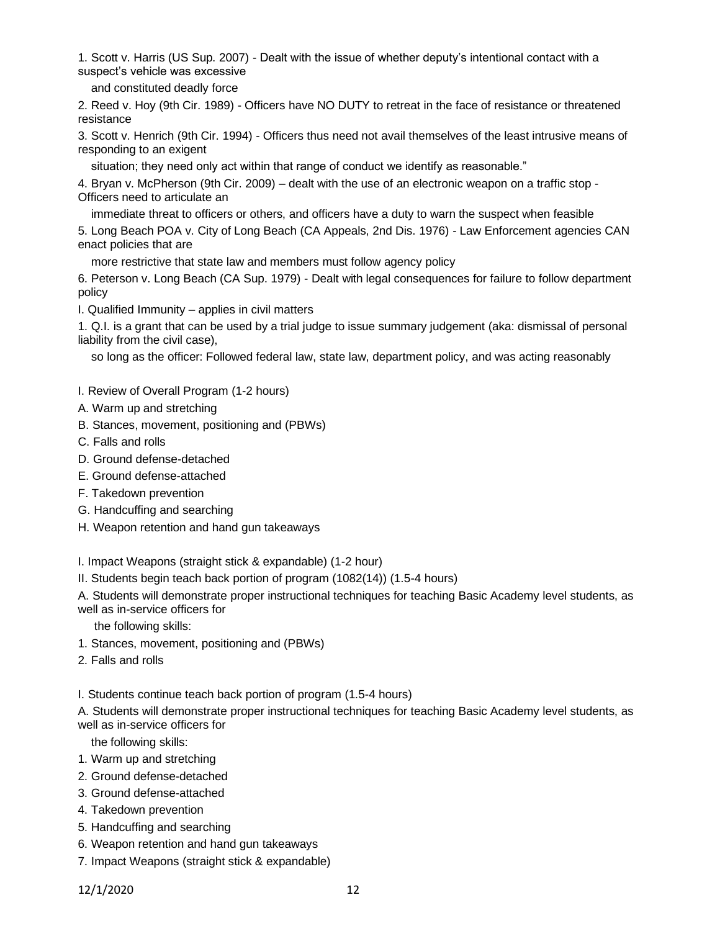1. Scott v. Harris (US Sup. 2007) - Dealt with the issue of whether deputy's intentional contact with a suspect's vehicle was excessive

and constituted deadly force

2. Reed v. Hoy (9th Cir. 1989) - Officers have NO DUTY to retreat in the face of resistance or threatened resistance

3. Scott v. Henrich (9th Cir. 1994) - Officers thus need not avail themselves of the least intrusive means of responding to an exigent

situation; they need only act within that range of conduct we identify as reasonable."

4. Bryan v. McPherson (9th Cir. 2009) – dealt with the use of an electronic weapon on a traffic stop - Officers need to articulate an

immediate threat to officers or others, and officers have a duty to warn the suspect when feasible

5. Long Beach POA v. City of Long Beach (CA Appeals, 2nd Dis. 1976) - Law Enforcement agencies CAN enact policies that are

more restrictive that state law and members must follow agency policy

6. Peterson v. Long Beach (CA Sup. 1979) - Dealt with legal consequences for failure to follow department policy

I. Qualified Immunity – applies in civil matters

1. Q.I. is a grant that can be used by a trial judge to issue summary judgement (aka: dismissal of personal liability from the civil case),

so long as the officer: Followed federal law, state law, department policy, and was acting reasonably

I. Review of Overall Program (1-2 hours)

- A. Warm up and stretching
- B. Stances, movement, positioning and (PBWs)
- C. Falls and rolls
- D. Ground defense-detached
- E. Ground defense-attached
- F. Takedown prevention
- G. Handcuffing and searching
- H. Weapon retention and hand gun takeaways

I. Impact Weapons (straight stick & expandable) (1-2 hour)

II. Students begin teach back portion of program (1082(14)) (1.5-4 hours)

A. Students will demonstrate proper instructional techniques for teaching Basic Academy level students, as well as in-service officers for

the following skills:

- 1. Stances, movement, positioning and (PBWs)
- 2. Falls and rolls

I. Students continue teach back portion of program (1.5-4 hours)

A. Students will demonstrate proper instructional techniques for teaching Basic Academy level students, as well as in-service officers for

the following skills:

- 1. Warm up and stretching
- 2. Ground defense-detached
- 3. Ground defense-attached
- 4. Takedown prevention
- 5. Handcuffing and searching
- 6. Weapon retention and hand gun takeaways
- 7. Impact Weapons (straight stick & expandable)

12/1/2020 12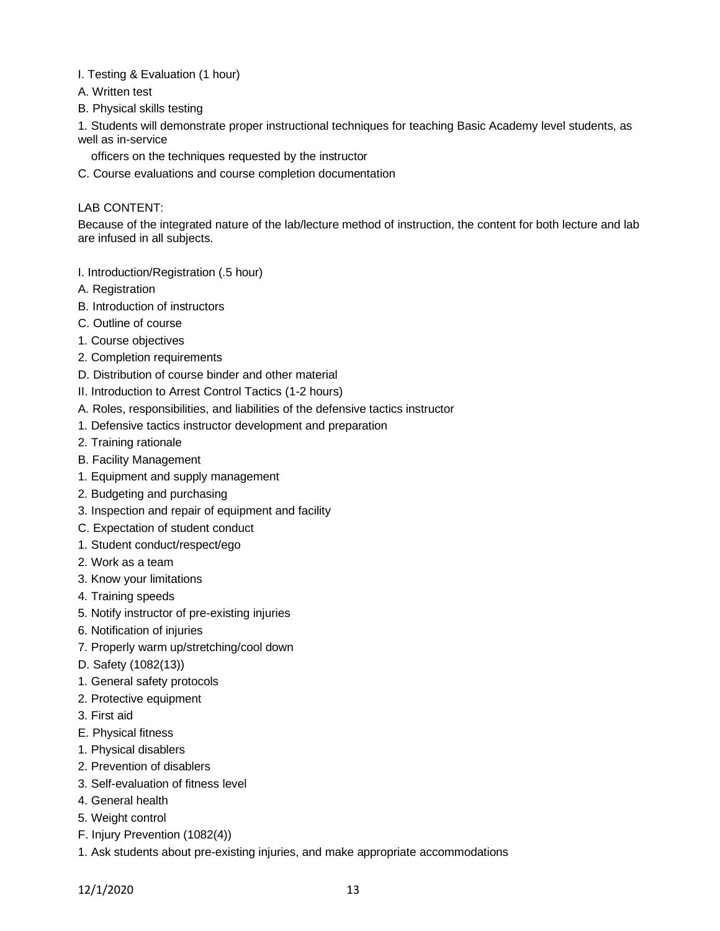- I. Testing & Evaluation (1 hour)
- A. Written test
- B. Physical skills testing

1. Students will demonstrate proper instructional techniques for teaching Basic Academy level students, as well as in-service

officers on the techniques requested by the instructor

C. Course evaluations and course completion documentation

## LAB CONTENT:

Because of the integrated nature of the lab/lecture method of instruction, the content for both lecture and lab are infused in all subjects.

- I. Introduction/Registration (.5 hour)
- A. Registration
- B. Introduction of instructors
- C. Outline of course
- 1. Course objectives
- 2. Completion requirements
- D. Distribution of course binder and other material
- II. Introduction to Arrest Control Tactics (1-2 hours)
- A. Roles, responsibilities, and liabilities of the defensive tactics instructor
- 1. Defensive tactics instructor development and preparation
- 2. Training rationale
- B. Facility Management
- 1. Equipment and supply management
- 2. Budgeting and purchasing
- 3. Inspection and repair of equipment and facility
- C. Expectation of student conduct
- 1. Student conduct/respect/ego
- 2. Work as a team
- 3. Know your limitations
- 4. Training speeds
- 5. Notify instructor of pre-existing injuries
- 6. Notification of injuries
- 7. Properly warm up/stretching/cool down
- D. Safety (1082(13))
- 1. General safety protocols
- 2. Protective equipment
- 3. First aid
- E. Physical fitness
- 1. Physical disablers
- 2. Prevention of disablers
- 3. Self-evaluation of fitness level
- 4. General health
- 5. Weight control
- F. Injury Prevention (1082(4))
- 1. Ask students about pre-existing injuries, and make appropriate accommodations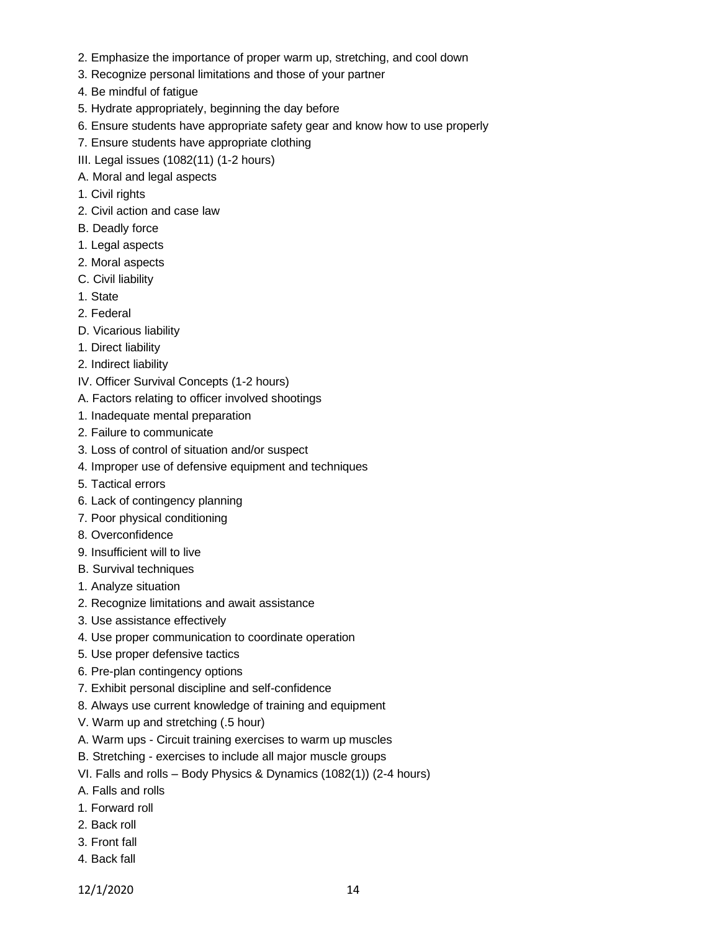- 2. Emphasize the importance of proper warm up, stretching, and cool down
- 3. Recognize personal limitations and those of your partner
- 4. Be mindful of fatigue
- 5. Hydrate appropriately, beginning the day before
- 6. Ensure students have appropriate safety gear and know how to use properly
- 7. Ensure students have appropriate clothing
- III. Legal issues (1082(11) (1-2 hours)
- A. Moral and legal aspects
- 1. Civil rights
- 2. Civil action and case law
- B. Deadly force
- 1. Legal aspects
- 2. Moral aspects
- C. Civil liability
- 1. State
- 2. Federal
- D. Vicarious liability
- 1. Direct liability
- 2. Indirect liability
- IV. Officer Survival Concepts (1-2 hours)
- A. Factors relating to officer involved shootings
- 1. Inadequate mental preparation
- 2. Failure to communicate
- 3. Loss of control of situation and/or suspect
- 4. Improper use of defensive equipment and techniques
- 5. Tactical errors
- 6. Lack of contingency planning
- 7. Poor physical conditioning
- 8. Overconfidence
- 9. Insufficient will to live
- B. Survival techniques
- 1. Analyze situation
- 2. Recognize limitations and await assistance
- 3. Use assistance effectively
- 4. Use proper communication to coordinate operation
- 5. Use proper defensive tactics
- 6. Pre-plan contingency options
- 7. Exhibit personal discipline and self-confidence
- 8. Always use current knowledge of training and equipment
- V. Warm up and stretching (.5 hour)
- A. Warm ups Circuit training exercises to warm up muscles
- B. Stretching exercises to include all major muscle groups
- VI. Falls and rolls Body Physics & Dynamics (1082(1)) (2-4 hours)
- A. Falls and rolls
- 1. Forward roll
- 2. Back roll
- 3. Front fall
- 4. Back fall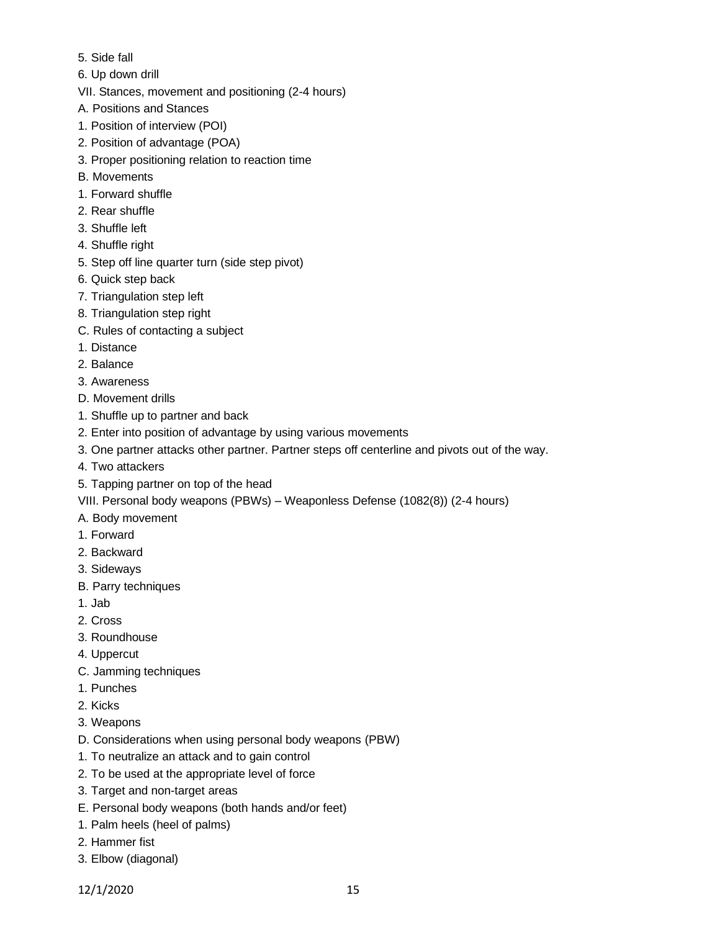- 5. Side fall
- 6. Up down drill
- VII. Stances, movement and positioning (2-4 hours)
- A. Positions and Stances
- 1. Position of interview (POI)
- 2. Position of advantage (POA)
- 3. Proper positioning relation to reaction time
- B. Movements
- 1. Forward shuffle
- 2. Rear shuffle
- 3. Shuffle left
- 4. Shuffle right
- 5. Step off line quarter turn (side step pivot)
- 6. Quick step back
- 7. Triangulation step left
- 8. Triangulation step right
- C. Rules of contacting a subject
- 1. Distance
- 2. Balance
- 3. Awareness
- D. Movement drills
- 1. Shuffle up to partner and back
- 2. Enter into position of advantage by using various movements
- 3. One partner attacks other partner. Partner steps off centerline and pivots out of the way.
- 4. Two attackers
- 5. Tapping partner on top of the head
- VIII. Personal body weapons (PBWs) Weaponless Defense (1082(8)) (2-4 hours)
- A. Body movement
- 1. Forward
- 2. Backward
- 3. Sideways
- B. Parry techniques
- 1. Jab
- 2. Cross
- 3. Roundhouse
- 4. Uppercut
- C. Jamming techniques
- 1. Punches
- 2. Kicks
- 3. Weapons
- D. Considerations when using personal body weapons (PBW)
- 1. To neutralize an attack and to gain control
- 2. To be used at the appropriate level of force
- 3. Target and non-target areas
- E. Personal body weapons (both hands and/or feet)
- 1. Palm heels (heel of palms)
- 2. Hammer fist
- 3. Elbow (diagonal)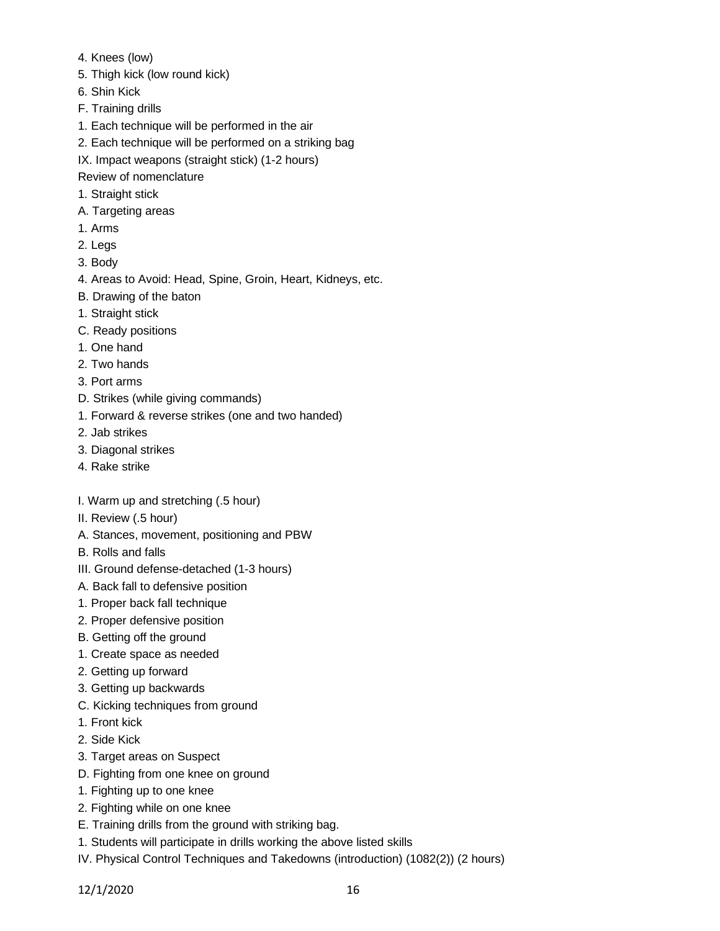- 4. Knees (low)
- 5. Thigh kick (low round kick)
- 6. Shin Kick
- F. Training drills
- 1. Each technique will be performed in the air
- 2. Each technique will be performed on a striking bag
- IX. Impact weapons (straight stick) (1-2 hours)

Review of nomenclature

- 1. Straight stick
- A. Targeting areas
- 1. Arms
- 2. Legs
- 3. Body
- 4. Areas to Avoid: Head, Spine, Groin, Heart, Kidneys, etc.
- B. Drawing of the baton
- 1. Straight stick
- C. Ready positions
- 1. One hand
- 2. Two hands
- 3. Port arms
- D. Strikes (while giving commands)
- 1. Forward & reverse strikes (one and two handed)
- 2. Jab strikes
- 3. Diagonal strikes
- 4. Rake strike
- I. Warm up and stretching (.5 hour)
- II. Review (.5 hour)
- A. Stances, movement, positioning and PBW
- B. Rolls and falls
- III. Ground defense-detached (1-3 hours)
- A. Back fall to defensive position
- 1. Proper back fall technique
- 2. Proper defensive position
- B. Getting off the ground
- 1. Create space as needed
- 2. Getting up forward
- 3. Getting up backwards
- C. Kicking techniques from ground
- 1. Front kick
- 2. Side Kick
- 3. Target areas on Suspect
- D. Fighting from one knee on ground
- 1. Fighting up to one knee
- 2. Fighting while on one knee
- E. Training drills from the ground with striking bag.
- 1. Students will participate in drills working the above listed skills
- IV. Physical Control Techniques and Takedowns (introduction) (1082(2)) (2 hours)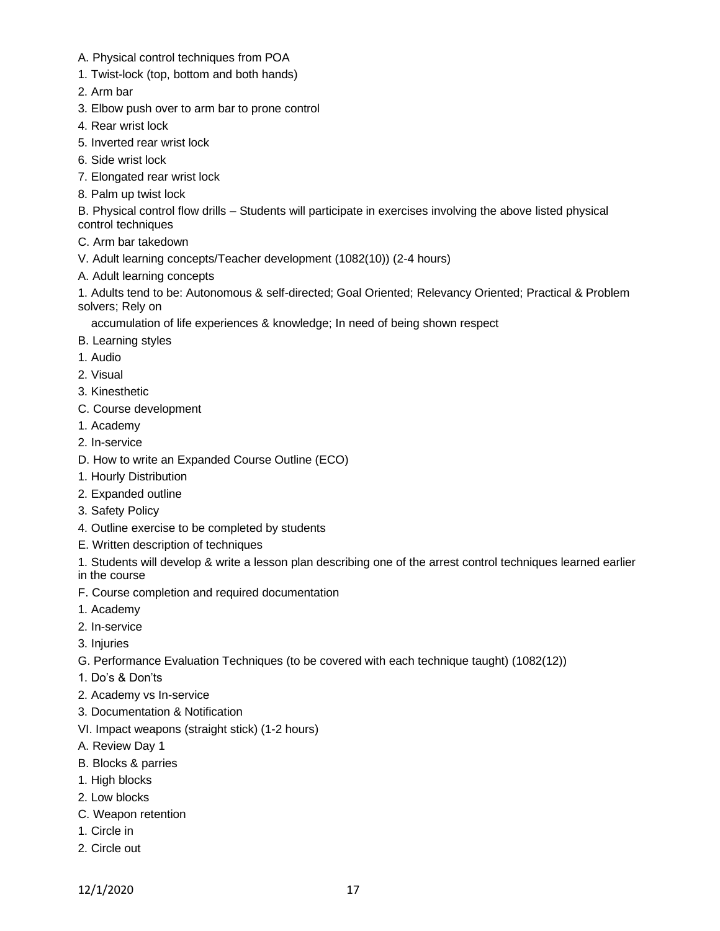- A. Physical control techniques from POA
- 1. Twist-lock (top, bottom and both hands)
- 2. Arm bar
- 3. Elbow push over to arm bar to prone control
- 4. Rear wrist lock
- 5. Inverted rear wrist lock
- 6. Side wrist lock
- 7. Elongated rear wrist lock
- 8. Palm up twist lock

B. Physical control flow drills – Students will participate in exercises involving the above listed physical control techniques

- C. Arm bar takedown
- V. Adult learning concepts/Teacher development (1082(10)) (2-4 hours)
- A. Adult learning concepts

1. Adults tend to be: Autonomous & self-directed; Goal Oriented; Relevancy Oriented; Practical & Problem solvers; Rely on

accumulation of life experiences & knowledge; In need of being shown respect

- B. Learning styles
- 1. Audio
- 2. Visual
- 3. Kinesthetic
- C. Course development
- 1. Academy
- 2. In-service
- D. How to write an Expanded Course Outline (ECO)
- 1. Hourly Distribution
- 2. Expanded outline
- 3. Safety Policy
- 4. Outline exercise to be completed by students
- E. Written description of techniques
- 1. Students will develop & write a lesson plan describing one of the arrest control techniques learned earlier
- in the course
- F. Course completion and required documentation
- 1. Academy
- 2. In-service
- 3. Injuries
- G. Performance Evaluation Techniques (to be covered with each technique taught) (1082(12))
- 1. Do's & Don'ts
- 2. Academy vs In-service
- 3. Documentation & Notification
- VI. Impact weapons (straight stick) (1-2 hours)
- A. Review Day 1
- B. Blocks & parries
- 1. High blocks
- 2. Low blocks
- C. Weapon retention
- 1. Circle in
- 2. Circle out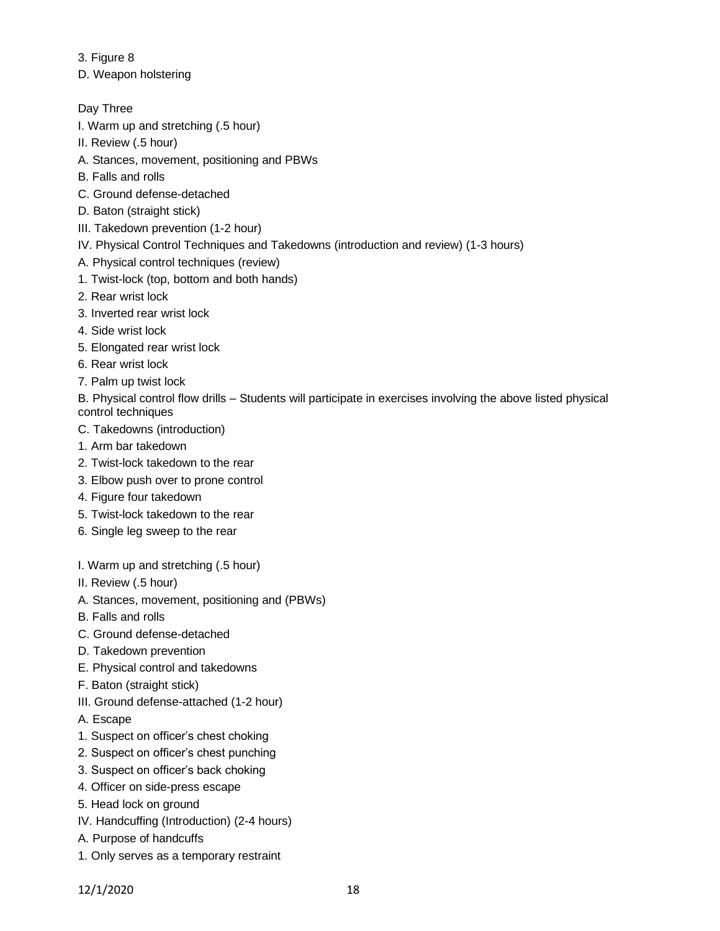3. Figure 8

D. Weapon holstering

Day Three

- I. Warm up and stretching (.5 hour)
- II. Review (.5 hour)
- A. Stances, movement, positioning and PBWs
- B. Falls and rolls
- C. Ground defense-detached
- D. Baton (straight stick)
- III. Takedown prevention (1-2 hour)
- IV. Physical Control Techniques and Takedowns (introduction and review) (1-3 hours)
- A. Physical control techniques (review)
- 1. Twist-lock (top, bottom and both hands)
- 2. Rear wrist lock
- 3. Inverted rear wrist lock
- 4. Side wrist lock
- 5. Elongated rear wrist lock
- 6. Rear wrist lock
- 7. Palm up twist lock
- B. Physical control flow drills Students will participate in exercises involving the above listed physical control techniques
- C. Takedowns (introduction)
- 1. Arm bar takedown
- 2. Twist-lock takedown to the rear
- 3. Elbow push over to prone control
- 4. Figure four takedown
- 5. Twist-lock takedown to the rear
- 6. Single leg sweep to the rear
- I. Warm up and stretching (.5 hour)
- II. Review (.5 hour)
- A. Stances, movement, positioning and (PBWs)
- B. Falls and rolls
- C. Ground defense-detached
- D. Takedown prevention
- E. Physical control and takedowns
- F. Baton (straight stick)
- III. Ground defense-attached (1-2 hour)
- A. Escape
- 1. Suspect on officer's chest choking
- 2. Suspect on officer's chest punching
- 3. Suspect on officer's back choking
- 4. Officer on side-press escape
- 5. Head lock on ground
- IV. Handcuffing (Introduction) (2-4 hours)
- A. Purpose of handcuffs
- 1. Only serves as a temporary restraint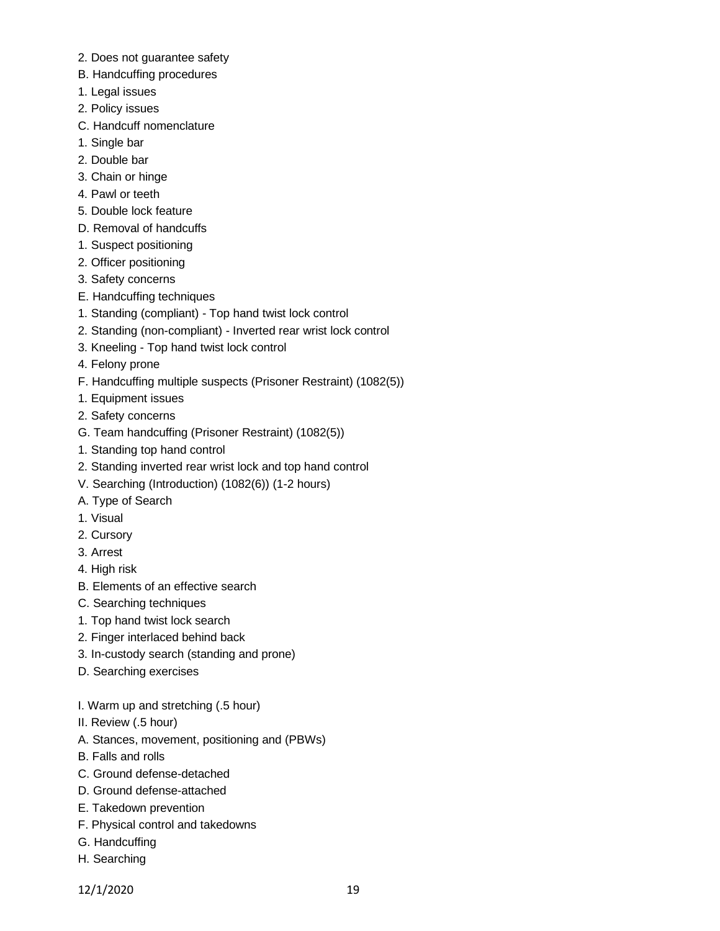- 2. Does not guarantee safety
- B. Handcuffing procedures
- 1. Legal issues
- 2. Policy issues
- C. Handcuff nomenclature
- 1. Single bar
- 2. Double bar
- 3. Chain or hinge
- 4. Pawl or teeth
- 5. Double lock feature
- D. Removal of handcuffs
- 1. Suspect positioning
- 2. Officer positioning
- 3. Safety concerns
- E. Handcuffing techniques
- 1. Standing (compliant) Top hand twist lock control
- 2. Standing (non-compliant) Inverted rear wrist lock control
- 3. Kneeling Top hand twist lock control
- 4. Felony prone
- F. Handcuffing multiple suspects (Prisoner Restraint) (1082(5))
- 1. Equipment issues
- 2. Safety concerns
- G. Team handcuffing (Prisoner Restraint) (1082(5))
- 1. Standing top hand control
- 2. Standing inverted rear wrist lock and top hand control
- V. Searching (Introduction) (1082(6)) (1-2 hours)
- A. Type of Search
- 1. Visual
- 2. Cursory
- 3. Arrest
- 4. High risk
- B. Elements of an effective search
- C. Searching techniques
- 1. Top hand twist lock search
- 2. Finger interlaced behind back
- 3. In-custody search (standing and prone)
- D. Searching exercises
- I. Warm up and stretching (.5 hour)
- II. Review (.5 hour)
- A. Stances, movement, positioning and (PBWs)
- B. Falls and rolls
- C. Ground defense-detached
- D. Ground defense-attached
- E. Takedown prevention
- F. Physical control and takedowns
- G. Handcuffing
- H. Searching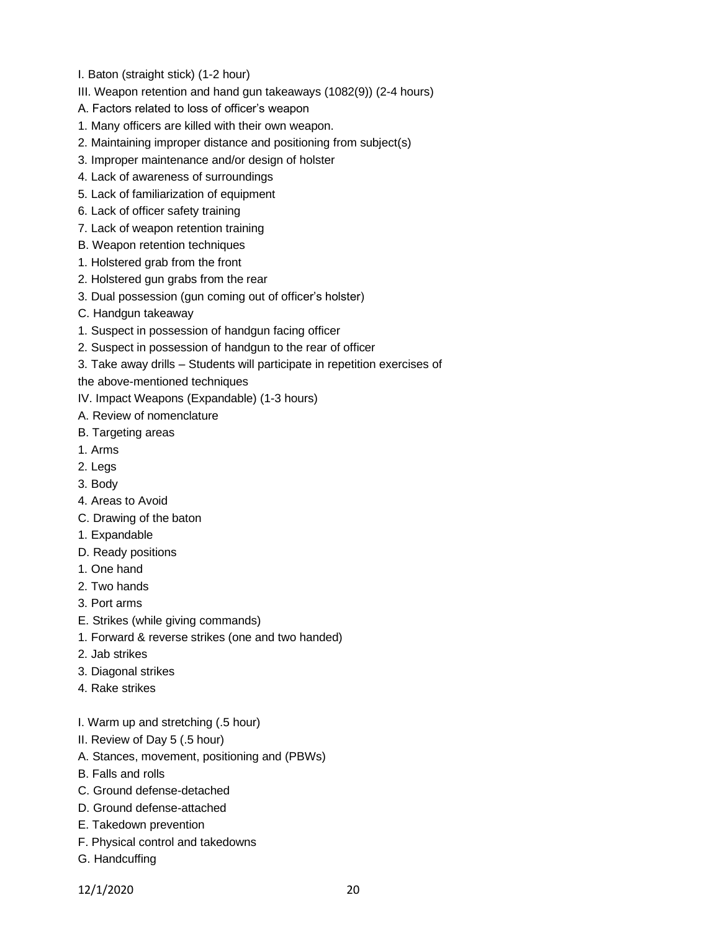- I. Baton (straight stick) (1-2 hour)
- III. Weapon retention and hand gun takeaways (1082(9)) (2-4 hours)
- A. Factors related to loss of officer's weapon
- 1. Many officers are killed with their own weapon.
- 2. Maintaining improper distance and positioning from subject(s)
- 3. Improper maintenance and/or design of holster
- 4. Lack of awareness of surroundings
- 5. Lack of familiarization of equipment
- 6. Lack of officer safety training
- 7. Lack of weapon retention training
- B. Weapon retention techniques
- 1. Holstered grab from the front
- 2. Holstered gun grabs from the rear
- 3. Dual possession (gun coming out of officer's holster)
- C. Handgun takeaway
- 1. Suspect in possession of handgun facing officer
- 2. Suspect in possession of handgun to the rear of officer
- 3. Take away drills Students will participate in repetition exercises of

the above-mentioned techniques

- IV. Impact Weapons (Expandable) (1-3 hours)
- A. Review of nomenclature
- B. Targeting areas
- 1. Arms
- 2. Legs
- 3. Body
- 4. Areas to Avoid
- C. Drawing of the baton
- 1. Expandable
- D. Ready positions
- 1. One hand
- 2. Two hands
- 3. Port arms
- E. Strikes (while giving commands)
- 1. Forward & reverse strikes (one and two handed)
- 2. Jab strikes
- 3. Diagonal strikes
- 4. Rake strikes
- I. Warm up and stretching (.5 hour)
- II. Review of Day 5 (.5 hour)
- A. Stances, movement, positioning and (PBWs)
- B. Falls and rolls
- C. Ground defense-detached
- D. Ground defense-attached
- E. Takedown prevention
- F. Physical control and takedowns
- G. Handcuffing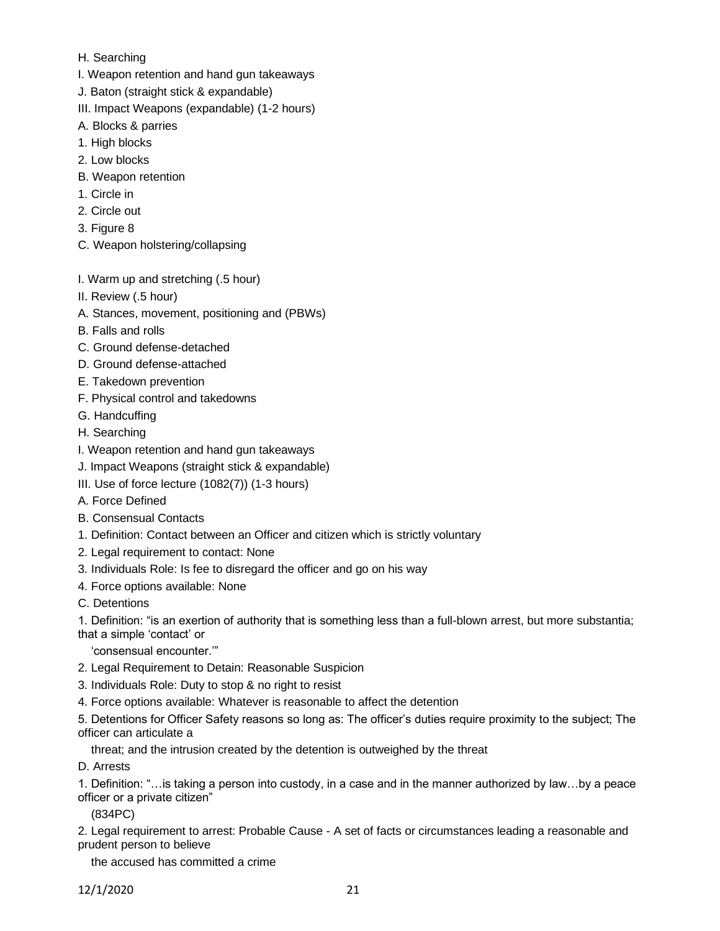- H. Searching
- I. Weapon retention and hand gun takeaways
- J. Baton (straight stick & expandable)
- III. Impact Weapons (expandable) (1-2 hours)
- A. Blocks & parries
- 1. High blocks
- 2. Low blocks
- B. Weapon retention
- 1. Circle in
- 2. Circle out
- 3. Figure 8
- C. Weapon holstering/collapsing
- I. Warm up and stretching (.5 hour)
- II. Review (.5 hour)
- A. Stances, movement, positioning and (PBWs)
- B. Falls and rolls
- C. Ground defense-detached
- D. Ground defense-attached
- E. Takedown prevention
- F. Physical control and takedowns
- G. Handcuffing
- H. Searching
- I. Weapon retention and hand gun takeaways
- J. Impact Weapons (straight stick & expandable)
- III. Use of force lecture (1082(7)) (1-3 hours)
- A. Force Defined
- B. Consensual Contacts
- 1. Definition: Contact between an Officer and citizen which is strictly voluntary
- 2. Legal requirement to contact: None
- 3. Individuals Role: Is fee to disregard the officer and go on his way
- 4. Force options available: None
- C. Detentions

1. Definition: "is an exertion of authority that is something less than a full-blown arrest, but more substantia; that a simple 'contact' or

'consensual encounter.'"

- 2. Legal Requirement to Detain: Reasonable Suspicion
- 3. Individuals Role: Duty to stop & no right to resist
- 4. Force options available: Whatever is reasonable to affect the detention

5. Detentions for Officer Safety reasons so long as: The officer's duties require proximity to the subject; The officer can articulate a

threat; and the intrusion created by the detention is outweighed by the threat

D. Arrests

1. Definition: "…is taking a person into custody, in a case and in the manner authorized by law…by a peace officer or a private citizen"

(834PC)

2. Legal requirement to arrest: Probable Cause - A set of facts or circumstances leading a reasonable and prudent person to believe

the accused has committed a crime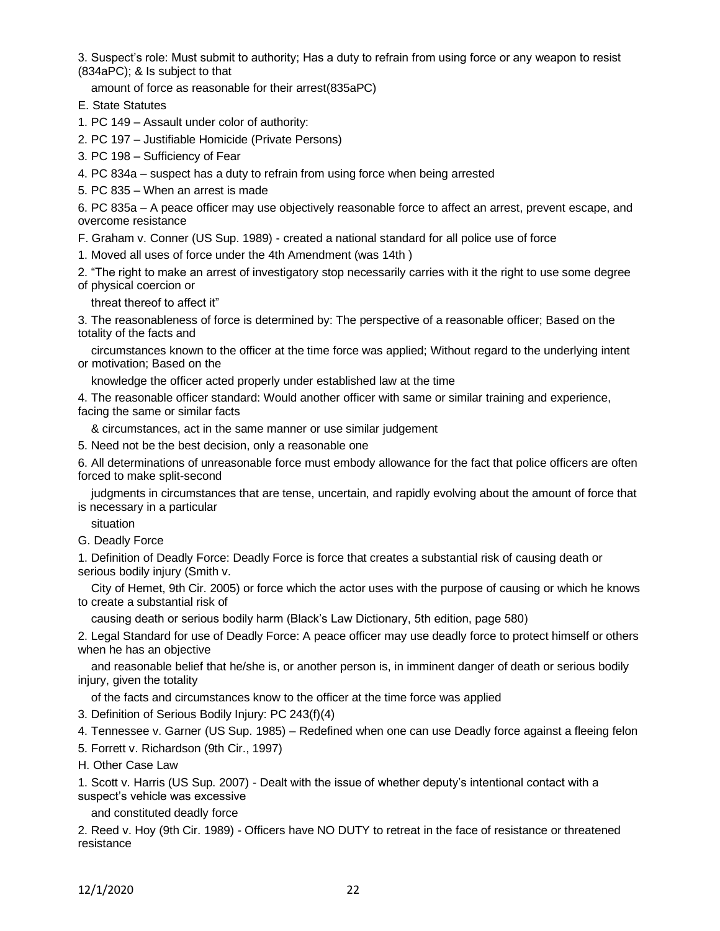3. Suspect's role: Must submit to authority; Has a duty to refrain from using force or any weapon to resist (834aPC); & Is subject to that

amount of force as reasonable for their arrest(835aPC)

- E. State Statutes
- 1. PC 149 Assault under color of authority:
- 2. PC 197 Justifiable Homicide (Private Persons)
- 3. PC 198 Sufficiency of Fear
- 4. PC 834a suspect has a duty to refrain from using force when being arrested
- 5. PC 835 When an arrest is made

6. PC 835a – A peace officer may use objectively reasonable force to affect an arrest, prevent escape, and overcome resistance

F. Graham v. Conner (US Sup. 1989) - created a national standard for all police use of force

- 1. Moved all uses of force under the 4th Amendment (was 14th )
- 2. "The right to make an arrest of investigatory stop necessarily carries with it the right to use some degree

of physical coercion or

threat thereof to affect it"

3. The reasonableness of force is determined by: The perspective of a reasonable officer; Based on the totality of the facts and

 circumstances known to the officer at the time force was applied; Without regard to the underlying intent or motivation; Based on the

knowledge the officer acted properly under established law at the time

4. The reasonable officer standard: Would another officer with same or similar training and experience, facing the same or similar facts

& circumstances, act in the same manner or use similar judgement

5. Need not be the best decision, only a reasonable one

6. All determinations of unreasonable force must embody allowance for the fact that police officers are often forced to make split-second

 judgments in circumstances that are tense, uncertain, and rapidly evolving about the amount of force that is necessary in a particular

situation

G. Deadly Force

1. Definition of Deadly Force: Deadly Force is force that creates a substantial risk of causing death or serious bodily injury (Smith v.

 City of Hemet, 9th Cir. 2005) or force which the actor uses with the purpose of causing or which he knows to create a substantial risk of

causing death or serious bodily harm (Black's Law Dictionary, 5th edition, page 580)

2. Legal Standard for use of Deadly Force: A peace officer may use deadly force to protect himself or others when he has an objective

 and reasonable belief that he/she is, or another person is, in imminent danger of death or serious bodily injury, given the totality

of the facts and circumstances know to the officer at the time force was applied

3. Definition of Serious Bodily Injury: PC 243(f)(4)

4. Tennessee v. Garner (US Sup. 1985) – Redefined when one can use Deadly force against a fleeing felon

- 5. Forrett v. Richardson (9th Cir., 1997)
- H. Other Case Law

1. Scott v. Harris (US Sup. 2007) - Dealt with the issue of whether deputy's intentional contact with a suspect's vehicle was excessive

and constituted deadly force

2. Reed v. Hoy (9th Cir. 1989) - Officers have NO DUTY to retreat in the face of resistance or threatened resistance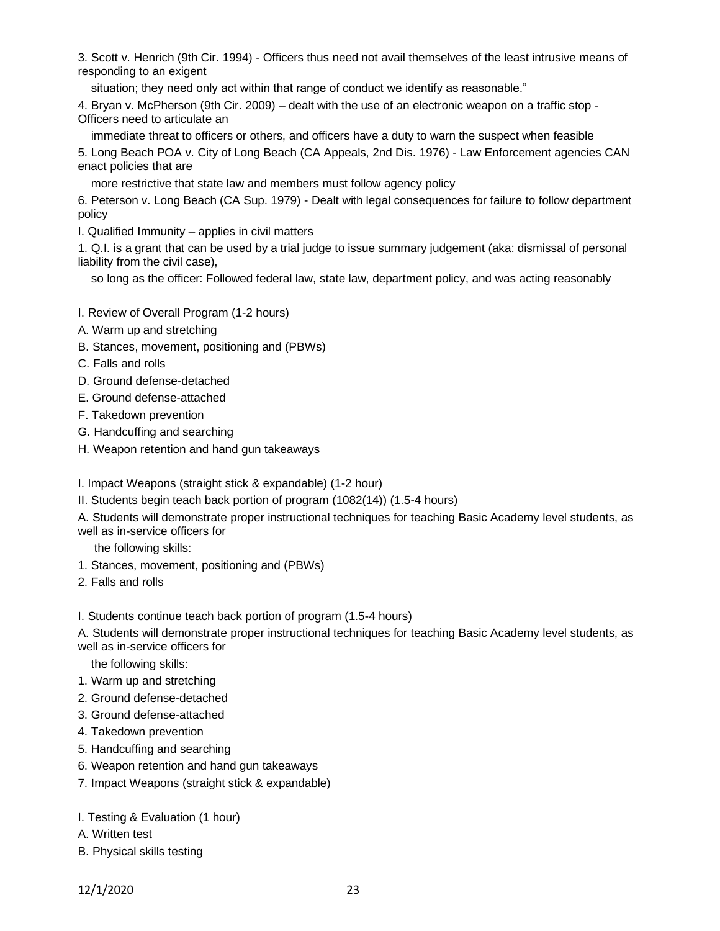3. Scott v. Henrich (9th Cir. 1994) - Officers thus need not avail themselves of the least intrusive means of responding to an exigent

situation; they need only act within that range of conduct we identify as reasonable."

4. Bryan v. McPherson (9th Cir. 2009) – dealt with the use of an electronic weapon on a traffic stop - Officers need to articulate an

 immediate threat to officers or others, and officers have a duty to warn the suspect when feasible 5. Long Beach POA v. City of Long Beach (CA Appeals, 2nd Dis. 1976) - Law Enforcement agencies CAN enact policies that are

more restrictive that state law and members must follow agency policy

6. Peterson v. Long Beach (CA Sup. 1979) - Dealt with legal consequences for failure to follow department policy

I. Qualified Immunity – applies in civil matters

1. Q.I. is a grant that can be used by a trial judge to issue summary judgement (aka: dismissal of personal liability from the civil case),

so long as the officer: Followed federal law, state law, department policy, and was acting reasonably

I. Review of Overall Program (1-2 hours)

- A. Warm up and stretching
- B. Stances, movement, positioning and (PBWs)
- C. Falls and rolls
- D. Ground defense-detached
- E. Ground defense-attached
- F. Takedown prevention
- G. Handcuffing and searching
- H. Weapon retention and hand gun takeaways

I. Impact Weapons (straight stick & expandable) (1-2 hour)

II. Students begin teach back portion of program (1082(14)) (1.5-4 hours)

A. Students will demonstrate proper instructional techniques for teaching Basic Academy level students, as well as in-service officers for

the following skills:

- 1. Stances, movement, positioning and (PBWs)
- 2. Falls and rolls

I. Students continue teach back portion of program (1.5-4 hours)

A. Students will demonstrate proper instructional techniques for teaching Basic Academy level students, as well as in-service officers for

the following skills:

- 1. Warm up and stretching
- 2. Ground defense-detached
- 3. Ground defense-attached
- 4. Takedown prevention
- 5. Handcuffing and searching
- 6. Weapon retention and hand gun takeaways
- 7. Impact Weapons (straight stick & expandable)
- I. Testing & Evaluation (1 hour)
- A. Written test
- B. Physical skills testing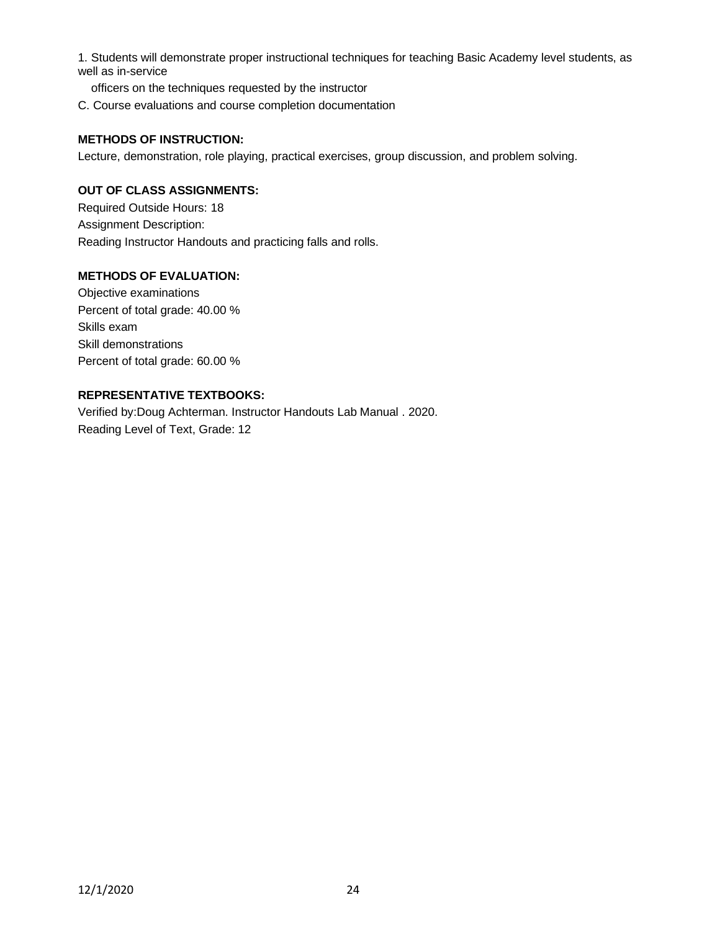1. Students will demonstrate proper instructional techniques for teaching Basic Academy level students, as well as in-service

officers on the techniques requested by the instructor

C. Course evaluations and course completion documentation

#### **METHODS OF INSTRUCTION:**

Lecture, demonstration, role playing, practical exercises, group discussion, and problem solving.

## **OUT OF CLASS ASSIGNMENTS:**

Required Outside Hours: 18 Assignment Description: Reading Instructor Handouts and practicing falls and rolls.

#### **METHODS OF EVALUATION:**

Objective examinations Percent of total grade: 40.00 % Skills exam Skill demonstrations Percent of total grade: 60.00 %

### **REPRESENTATIVE TEXTBOOKS:**

Verified by:Doug Achterman. Instructor Handouts Lab Manual . 2020. Reading Level of Text, Grade: 12